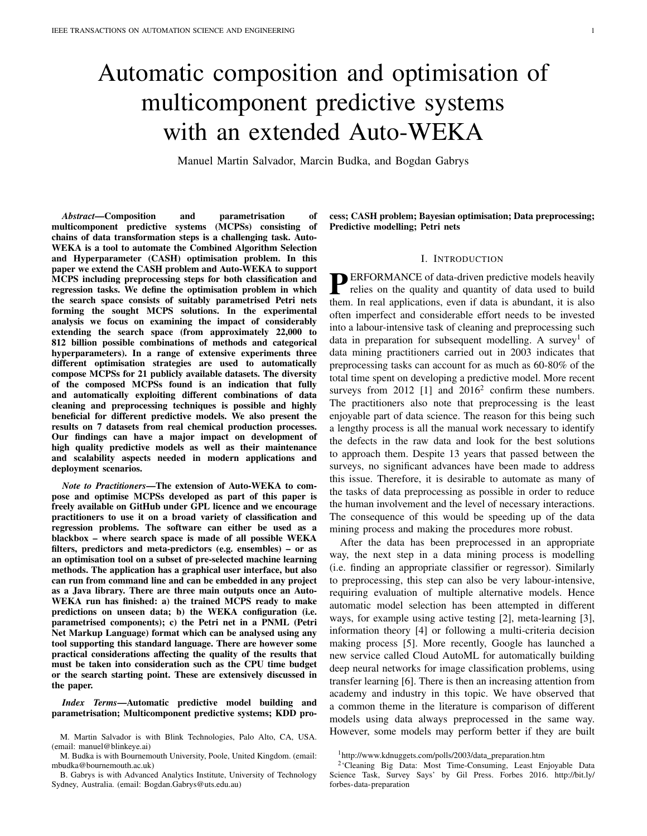# Automatic composition and optimisation of multicomponent predictive systems with an extended Auto-WEKA

Manuel Martin Salvador, Marcin Budka, and Bogdan Gabrys

*Abstract*—Composition and parametrisation of multicomponent predictive systems (MCPSs) consisting of chains of data transformation steps is a challenging task. Auto-WEKA is a tool to automate the Combined Algorithm Selection and Hyperparameter (CASH) optimisation problem. In this paper we extend the CASH problem and Auto-WEKA to support MCPS including preprocessing steps for both classification and regression tasks. We define the optimisation problem in which the search space consists of suitably parametrised Petri nets forming the sought MCPS solutions. In the experimental analysis we focus on examining the impact of considerably extending the search space (from approximately 22,000 to 812 billion possible combinations of methods and categorical hyperparameters). In a range of extensive experiments three different optimisation strategies are used to automatically compose MCPSs for 21 publicly available datasets. The diversity of the composed MCPSs found is an indication that fully and automatically exploiting different combinations of data cleaning and preprocessing techniques is possible and highly beneficial for different predictive models. We also present the results on 7 datasets from real chemical production processes. Our findings can have a major impact on development of high quality predictive models as well as their maintenance and scalability aspects needed in modern applications and deployment scenarios.

*Note to Practitioners*—The extension of Auto-WEKA to compose and optimise MCPSs developed as part of this paper is freely available on GitHub under GPL licence and we encourage practitioners to use it on a broad variety of classification and regression problems. The software can either be used as a blackbox – where search space is made of all possible WEKA filters, predictors and meta-predictors (e.g. ensembles) – or as an optimisation tool on a subset of pre-selected machine learning methods. The application has a graphical user interface, but also can run from command line and can be embedded in any project as a Java library. There are three main outputs once an Auto-WEKA run has finished: a) the trained MCPS ready to make predictions on unseen data; b) the WEKA configuration (i.e. parametrised components); c) the Petri net in a PNML (Petri Net Markup Language) format which can be analysed using any tool supporting this standard language. There are however some practical considerations affecting the quality of the results that must be taken into consideration such as the CPU time budget or the search starting point. These are extensively discussed in the paper.

*Index Terms*—Automatic predictive model building and parametrisation; Multicomponent predictive systems; KDD process; CASH problem; Bayesian optimisation; Data preprocessing; Predictive modelling; Petri nets

### I. INTRODUCTION

**PERFORMANCE** of data-driven predictive models heavily<br>relies on the quality and quantity of data used to build<br>them In and analizations sum if data is showlant it is also relies on the quality and quantity of data used to build them. In real applications, even if data is abundant, it is also often imperfect and considerable effort needs to be invested into a labour-intensive task of cleaning and preprocessing such data in preparation for subsequent modelling. A survey<sup>1</sup> of data mining practitioners carried out in 2003 indicates that preprocessing tasks can account for as much as 60-80% of the total time spent on developing a predictive model. More recent surveys from  $2012$  [1] and  $2016<sup>2</sup>$  confirm these numbers. The practitioners also note that preprocessing is the least enjoyable part of data science. The reason for this being such a lengthy process is all the manual work necessary to identify the defects in the raw data and look for the best solutions to approach them. Despite 13 years that passed between the surveys, no significant advances have been made to address this issue. Therefore, it is desirable to automate as many of the tasks of data preprocessing as possible in order to reduce the human involvement and the level of necessary interactions. The consequence of this would be speeding up of the data mining process and making the procedures more robust.

After the data has been preprocessed in an appropriate way, the next step in a data mining process is modelling (i.e. finding an appropriate classifier or regressor). Similarly to preprocessing, this step can also be very labour-intensive, requiring evaluation of multiple alternative models. Hence automatic model selection has been attempted in different ways, for example using active testing [2], meta-learning [3], information theory [4] or following a multi-criteria decision making process [5]. More recently, Google has launched a new service called Cloud AutoML for automatically building deep neural networks for image classification problems, using transfer learning [6]. There is then an increasing attention from academy and industry in this topic. We have observed that a common theme in the literature is comparison of different models using data always preprocessed in the same way. However, some models may perform better if they are built

M. Martin Salvador is with Blink Technologies, Palo Alto, CA, USA. (email: manuel@blinkeye.ai)

M. Budka is with Bournemouth University, Poole, United Kingdom. (email: mbudka@bournemouth.ac.uk)

B. Gabrys is with Advanced Analytics Institute, University of Technology Sydney, Australia. (email: Bogdan.Gabrys@uts.edu.au)

<sup>&</sup>lt;sup>1</sup>http://www.kdnuggets.com/polls/2003/data\_preparation.htm

<sup>&</sup>lt;sup>2</sup>'Cleaning Big Data: Most Time-Consuming, Least Enjoyable Data Science Task, Survey Says' by Gil Press. Forbes 2016. http://bit.ly/ forbes-data-preparation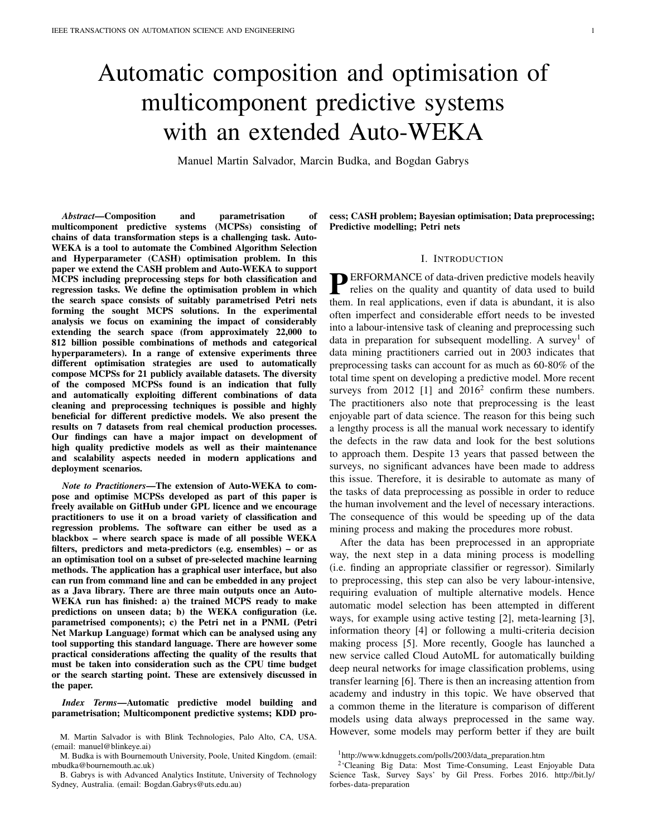using data specifically preprocessed with a particular model type in mind. In addition, hyperparameters play an important role in most of the models, and setting them manually is time-consuming mainly for two reasons: (1) there are typically multiple hyperparameters which can take many values (with an extreme case being continuous hyperparameters), and (2) they are validated using cross-validation (CV).

In many scenarios one needs to sequentially apply multiple preprocessing methods to the data (e.g. outlier detection ! missing value imputation / dimensionality reduction), effectively forming a preprocessing chain. Data-driven workflows have been used to guide data processing in a variety of fields. Some examples are astronomy [7], biology [8], clinical research [9], archive scanning [10], telecommunications [11], banking [12] and process industry [13], to name a few. The common methodology in all these fields consists of following a number of steps to prepare a dataset for data mining. In the field of predictive modelling, the workflow resulting from connecting different methods is known as a Multi-Component Predictive System (MCPS) [14], [15]. At the moment, tools like WEKA<sup>3</sup>, RapidMiner<sup>4</sup> or Knime<sup>5</sup> allow to create and run MCPSs including a large variety of operators.

The motivation for automating composition of MCPS is twofold. In the first instance, it will help to reduce the amount of time spent on the most labour-intensive activities related to predictive modelling, and therefore allow to dedicate human expertise to other tasks. The second motivation is to achieve better results than a human expert could, given a limited amount of time. The number of possible methods and hyperparameter combinations increases exponentially with the number of components in an MCPS and in majority of cases it is not computationally feasible to evaluate all of them. Therefore it makes sense to approach preprocessing, model selection and hyperparameter optimisation problems jointly.

The Combined Algorithm Selection and Hyperparameter optimisation (CASH) problem presented in [16] consists of finding the best combination of learning algorithm A and hyperparameters that optimise an objective function (e.g. Eq. 1 minimises the  $k$ -fold cross-validation error) for a given dataset  $D$ . Formally, CASH problem is given by

$$
A = \underset{A^{(j)} \, 2A \, ; \, 2}{\arg \min} \frac{1}{k} \sum_{i=1}^{k} L(A^{(j)}; D_{train}^{(i)}; D_{valid}^{(i)}) \tag{1}
$$

where  $A = fA^{(1)}$ ; :::;  $A^{(k)}g$  is a set of algorithms with associated hyperparameter spaces  $(1)$ ; :::;  $(k)$ . The loss function  $\angle$  takes as arguments an algorithm configuration A (i.e. an instance of a learning algorithm and hyperparameters), a training set  $D_{train}$  and a validation set  $D_{valid}$ .

In this paper we extend the CASH problem to support MCPSs, i.e. joint optimisation of predictive models (classifiers and regressors) and preprocessing chains. We embrace the representation of MCPS as Petri nets which we proposed in [15] and thus

$$
= (P; T; F) \tag{2}
$$

<sup>3</sup>http://weka.sourceforge.net



Fig. 1. Multicomponent predictive system with a single transition

In our previous work [17] we presented the first approach for hyperparameter optimisation of WEKA classifiers that modify their inner data preprocessing behaviour by recursively expanding the search space constructed by Auto-WEKA (a tool for solving the CASH problem defined by WEKA algorithms and hyperparameters). In this paper we present a further development of Auto-WEKA to support any combination of preprocessing methods (known as WEKA filters). This leads to significantly enlarging the search space of the CASH problem and automating the composition and optimisation of such complex MCPSs.

The paper is organised as follows. The next section reviews previous work in automating the CASH problem and highlights the available software. Section III extends CASH problem to MCPSs and describes the challenges related to automation of their composition. In Section III-A, our contributions to Auto-WEKA software, now allowing to create and optimise arbitrary chains of preprocessing steps followed by a predictive model, are presented. The methodology used to automate MCPS composition is discussed in Section IV followed by the results of extensive experimental analysis in Section V. In Section VI, we present the results of applying this approach to real datasets from the process industry. Finally, the paper concludes in Section VII.

#### II. BAYESIAN OPTIMISATION STRATEGIES

The CASH problem as shown in Eq. 1 can be approached in different ways. One example is a grid search, i.e. an exhaustive search over all the possible combinations of discretized parameters. Such technique can however be computationally prohibitive in large search spaces or with big datasets. A simpler mechanism like random search, where the search space is randomly explored in a limited amount of time, has been shown to be more effective in high-dimensional spaces [18].

A promising approach gaining popularity in the recent years is based on a Bayesian optimization framework [19], [20]. This approach – outlined in Algorithm  $1 - \text{aims to find}$ 

$$
= \underset{2}{\text{argmin}} L(\ \ /D_{train}/D_{test}) \tag{3}
$$

that globally minimises the loss function  $\mathcal{L}$ . It assumes that the posterior distribution  $p(L / R_{1:n})$  can be estimated by the likelihood function  $p(R_{1:n} \nvert \nvert)$  and the prior distribution  $p(\nvert \nvert)$ using Bayes' theorem

$$
p(\perp j R_{1:n}) \nearrow p(R_{1:n} j \perp) p(\perp) \tag{4}
$$

<sup>4</sup>https://rapidminer.com

<sup>5</sup>https://www.knime.org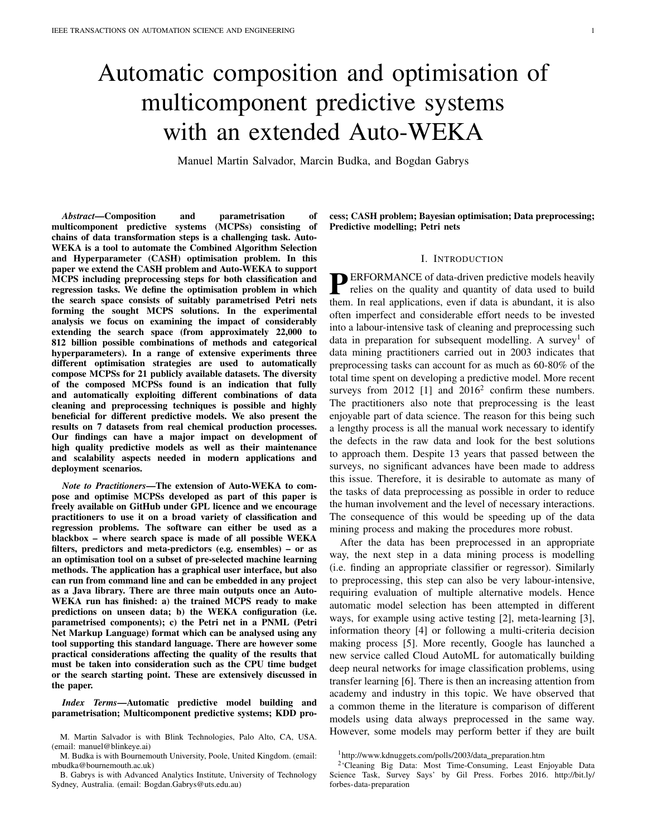where  $R_{1:n} = f(\frac{1}{c_1}; \frac{c_1}{r_1}; \dots; (\frac{1}{n}; \frac{c_n}{r_n})g$  is the set of run configurations and its associated costs. Since evaluating the loss function is costly, an acquisition function  $p(L)$ : ! R quantifying the utility of an evaluation is used instead as a cheaper alternative. This function has an inherent tradeoff between exploration (where there is more uncertainty) and exploitation (where the cost is expected to be low). There are different types of acquisition functions based on the likelihood of improvement [21], the upper confidence bound criterion [22], or information gain [23].

| <b>Algorithm 1</b> Bayesian optimisation                      |
|---------------------------------------------------------------|
| 1: for $n = 1/2$ ;  do                                        |
| $n+1$ = argmax ()<br>select most promising<br>2:              |
| configuration                                                 |
| 3: $C_{n+1} = L(n+1)D_{train}/D_{test}$<br>. compute cost     |
| 4: $R_{n+1} = fR_{n} / (n+1)C_{n+1}g$<br>. update list of run |
| configurations                                                |
| 5: update $p(L/R_{1:n+1})$                                    |
| $6:$ end for                                                  |

In particular, Sequential Model-Based Optimization (SMBO) [24] is a Bayesian optimisation framework that incrementally builds a regression model – known as surrogate model – using instances from  $R$ . Then, such model is used to predict the performance of promising candidate configurations. The selection of promising configurations is guided by an acquisition function :  $\angle$  R. A function that has been shown to work well in SMBO framework [25] is the expected improvement (EI) [26] given by

$$
(\ jR_n) = \mathbb{E} [I(\ )] = \mathbb{E} [max \mathcal{D}/c_{min} \ c \ g] \qquad (5)
$$

where  $c_{min}$  is the cost of the best configuration found so far. The advantage of this function is that it can be evaluated without computing the loss function for each (i.e. running the configuration) since  $c$  can be estimated using . A common technique to select the next promising configuration consists of evaluating EI for thousands of random samples and then returning the best one [24]. Algorithm 2 shows the SMBO procedure that returns the best configuration found  $_{min}$  (also known as 'incumbent').

|    | <b>Algorithm 2</b> Sequential Model-Based Optimisation          |
|----|-----------------------------------------------------------------|
|    | 1: $_{min}$ = initial configuration (usually random sample from |
|    |                                                                 |
|    | 2: $R = f[$ min; $L[$ min; $D]g$<br>initialise set of run       |
|    | configurations and associated costs                             |
|    | $3:$ repeat                                                     |
| 4: | $=$ F itModel(R)                                                |
| 5: | $=$ FindNextConfiguration( ; ; $_{min}$ ; )                     |
| 6: | $c = \perp ( \div D)$<br>. compute cost                         |
|    | 7: $R:add([c])$ update list of run configurations               |
| 8: | $_{min}$ = argmin c j[ ; c ] 2 R<br>. update best               |
|    | configuration found                                             |
|    | 9: <b>until</b> budget exhausted                                |
|    | $10.$ notum $\blacksquare$                                      |

10: **return** <sub>min</sub>

Some hyperparameters influence the optimisation problem conditionally, i.e. only when some other hyperparameters take certain values. For example Gaussian kernel width in Support Vector Machine (SVM) is only relevant if SVM is using Gaussian kernels in the first place. Search spaces containing this type of hyperparameters are known as conditional spaces [20].

The ability of SMBO methods to work in conditional spaces is given by the surrogate model they use: models like Random Forests or the Tree Parzen Estimator (TPE) support conditional attributes. A successful SMBO approach using random forests is SMAC (Sequential Model-based Algorithm Configuration by [24]) where an ensemble of decision trees makes it possible to model conditional variables. Another state-ofthe-art approach uses TPE [27], where a graph-structured model matches the conditional structure of the search space. Other SMBO approaches use Gaussian processes as surrogate models (e.g. [28]). However, they cannot work in conditional spaces because standard kernels are not defined over variablelength spaces [20] and therefore are not used in this paper.

Currently available software tools supporting SMBO methods are listed in Table I. It should be noted however, that to the best of our knowledge, there are no comprehensive studies or tools<sup>6</sup> which would tackle the problem of flexible composition of many data preprocessing steps (e.g. data cleaning, feature selection, data transformation) and their simultaneous parametric optimisation, which is one of the key issues addressed in this paper.

# III. AUTOMATING MCPS COMPOSITION

Building an MCPS is typically an iterative, labour and knowledge intensive process. Despite a substantial body of research in the area of automated and assisted MCPS creation and optimisation (see e.g. [30] for a survey), a reliable fully automated approach still does not exist.

To accommodate the definition of MCPS into a CASH problem we generalise  $A$  from Eq. 1 to be a set of MCPSs  $= f^{(1)}$ ; (2); :::g rather than individual algorithms. Hence each MCPS  $(j) = (P; T; F)^{(j)}$  has now a hyperparameter space  $(y)$ , which is a concatenation of the hyperparameter spaces of all its transitions T. The CASH problem is now concerned with finding  $(P, T, F)$  such as:

$$
\underset{(P:T;F)^{(j)} \geq j}{\arg \min} \frac{1}{k} \sum_{i=1}^{k} L((P;T;F)^{(j)}; D_{train}^{(i)}, D_{valid}^{(i)})
$$
\n(6)

The main reason for MCPS composition being a challenging problem is the computational power and time needed to explore high dimensional search spaces. To begin with, an undetermined number of components can make the workflow very simple (see Figure 2) or very complex (see Figure 3). Secondly, the order in which the nodes should be connected is unknown a priori. Also, even transitions belonging to the same category (e.g. missing value imputation) can vary widely in terms of the number and type of hyperparameters

<sup>&</sup>lt;sup>6</sup>At the moment of writing this paper there were none, but some new tools have appeared in the meantime (see e.g. TPOT [29] https://github.com/ EpistasisLab/tpot and DataRobot https://www.datarobot.com).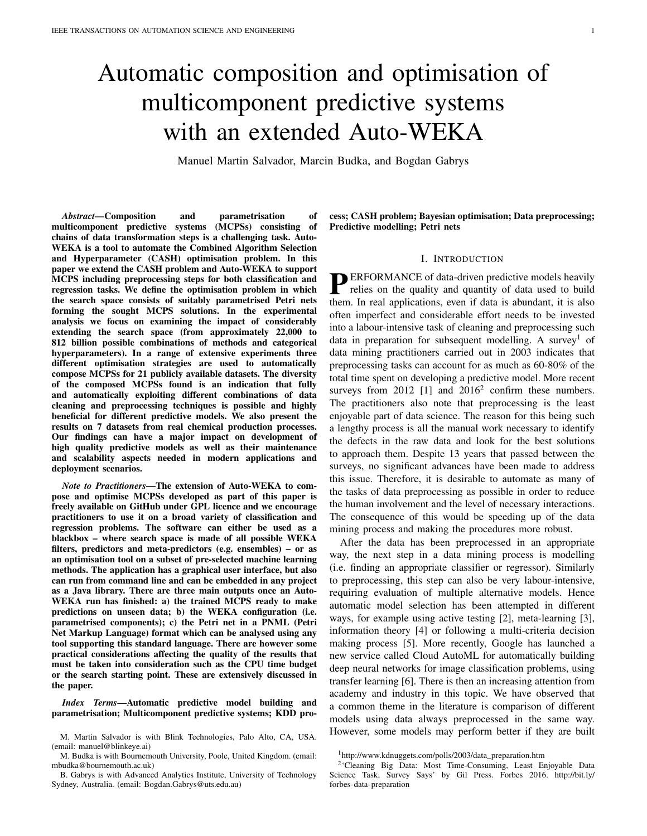TABLE I POPULAR OPEN-SOURCE TOOLS SUPPORTING SMBO METHODS

| <b>Name</b>     | Surrogate model       | Language      | URL                                          |
|-----------------|-----------------------|---------------|----------------------------------------------|
| <b>SMAC</b>     | Random forest         | Java          | http://www.cs.ubc.ca/labs/beta/Projects/SMAC |
| Hyperopt        | Tree Parzen estimator | Python        | https://github.com/hyperopt/hyperopt         |
| Spearmint       | Gaussian process      | Python        | https://github.com/HIPS/Spearmint            |
| <b>Bayesopt</b> | Gaussian process      | $C++$         | https://bitbucket.org/rmcantin/bayesopt      |
| PvBO            | Gaussian process      | Python        | https://github.com/mwhoffman/pybo            |
| <b>MOE</b>      | Gaussian process      | Python $/C++$ | https://github.com/Yelp/MOE                  |
| Scikit-Optimize | Various               | Python        | https://scikit-optimize.github.io            |
| Auto-WEKA*      | SMAC, TPE             | Java          | https://github.com/automl/autoweka           |
| Auto-Sklearn*   | SMAC                  | Python        | https://github.com/automl/auto-sklearn       |

\* Toolkits for automating algorithm selection in WEKA and Scikit-learn, respectively.



Fig. 2. Example of a simple MCPS

Fig. 3. Example of a complex MCPS

minima.





Fig. 4. MCPS training and testing process

to-evaluate models [33]). However, this study investigates the impact of extending the search space, not by including more predictive models, but considering preprocessing methods instead. Nonetheless, some constrains are applied like limiting the number and order of components which will be explained in Section IV.

We use the predictive performance as a sole optimisation objective as shown in Eq. 6, noting however, that some problems may require to optimise several objectives at the same time (e.g. error rate, model complexity and runtime [34]). In this paper we use our extended Auto-WEKA version – described in the next section – which supports automatic composition and optimisation of MCPSs with WEKA filters and predictive models as components.

The size of the search space (i.e.  $j$  ) can be reduced by applying a range of constraints like limiting the number of components, restricting the list of methods using metalearning [31], prior knowledge [32] or surrogates (i.e. cheap-

(e.g. continuous, categorical or conditional), with defining of a viable range for each of the hyperparameters being an additional problem in itself. This complexity makes techniques like grid search not feasible. Even 'intelligent' strategies can struggle with exploration because the high dimensional search space is likely to be plagued with a multitude of bad local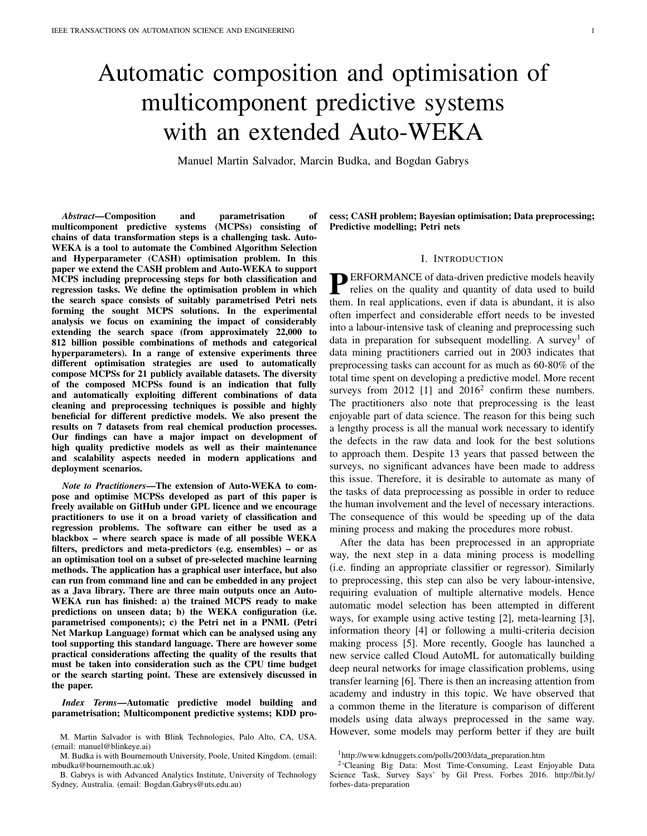# *A. Extension and generalisation of Auto-WEKA*

Auto-WEKA is a software developed by Thornton et al. [16] which allows algorithm selection and hyperparameter optimisation both in regression and classification problems.

In this work we have extended Auto-WEKA to support MCPSs. This leads to an increasing of the search space from 21,560 up to 812 billion possible solutions as seen in Table II and further discussed in Section IV. This work has been developed taking as base Auto-WEKA version 0.5. Independently and in parallel to our work, there was further development of Auto-WEKA which current version is now 2.6 [35]. Nonetheless, this new version does not affect the work carried out in this paper as its main novelty is the integration with WEKA user interface.

Both versions provide a one-click solution for automating algorithm selection and hyperparameter optimisation. However, version 0.5 is much more flexible, offering as well multiple customisations possibilities like preselection of WEKA predictors, choosing the optimisation strategy or setting the optimisation criteria. Auto-WEKA 0.5 also supports various usage scenarios depending on user knowledge, needs and available computational budget. One can for example, run several optimisations in parallel, ending up with multiple solutions that can then be analysed individually or used to build an ensemble [36].

Our new extensions now allow any WEKA filter to be included as part of the composition process. In addition, we have developed a new WEKA filter that creates a flexible chain of common preprocessing steps including missing values handling, outlier detection and removal, data transformation, dimensionality reduction and sampling.

The following external WEKA packages<sup>7</sup> have been included as part of the developed Auto-WEKA extensions to increase the number of preprocessing methods: *EMImputation*, *RBFNetwork*, *StudentFilters*, *baggedLocalOutlierFactor*, *localOutlierFactor*, *partialLeastSquares* and *wavelet*. Furthermore, we have developed two new WEKA filters: (i) an outlier detection and removal filter in a single step; and (ii) a sampling filter in which instances are periodically selected given a fixed interval of time. These new filters are common operations in the preprocessing of datasets from the process industry.

Moreover, our extension generates an MCPS in a PNML (Petri Net Markup Language) format which can be analysed using any tool supporting this standard language (e.g.  $WoPeD<sup>8</sup>$ ).

Therefore, there are three main outputs once a new, extended Auto-WEKA run has finished: a) the trained MCPS ready to make predictions on unseen data; b) WEKA configuration (i.e. parametrised components); c) the Petri net in a PNML format.

While the space restriction does not allow us to include more implementation details, the source code and all the scripts for the analysis of the extended Auto-WEKA results such as the creation of plots and tables have been released in our repository<sup>9</sup>.

# IV. METHODOLOGY

The purpose of this experimental study is to analyse the feasibility of SMBO strategies for solving the MCPS related CASH problem as defined in Eq. 6 and the quality of the solutions found using the proposed extended Auto-WEKA with all its features supporting the MCPSs composition and parametric/hyperparametric optimisation of the workflows.

The three main characteristics which define a CASH problem are: a) the search space, b) the objective function and c) the optimisation algorithm. In this study we have considered three search spaces of very different sizes (see Table II):

PREV: This is the search space used in [16] where predictors and meta-predictors (which take outputs from one or more base predictive models as their input) were considered (756 hyperparameters). It can also include the best feature selection method found after running 'AttributeSelection' WEKA filter (30 hyperparameters) for 15 minutes before the optimisation process begins. We use it as a baseline.

NEW: This search space only includes predictors and meta-predictors. In contrast with PREV space, no previous feature selection stage is performed. We would like to note however that some WEKA classifiers perform internal preprocessing steps as we showed in our previous work [17] ((e.g. MultiLayerPerceptron (MLP) removes instances with missing values and scales the attributes to a range  $[-1,1]$ ). We take into account that a categorical hyperparameter can be either simple or complex (i.e. when it contains WEKA classes). In the latter case, we increase the search space by adding recursively the hyperparameters of each method belonging to such complex parameter (e.g. the 'DecisionTable' predictor contains a complex hyperparameter whose values are three different types of search methods with further hyperparameters – see Table IV for details). That extension increases the search space to 1186 hyperparameters.

FULL: This search space has been defined to support a flow with up to five preprocessing steps, a predictive model and a meta-predictor (1564 hyperparameters). The nodes are connected in the following order: missing value handling  $\ell$  outlier detection and handling<sup>10</sup>  $\ell$  data transformation ! dimensionality reduction ! sampling ! predictor ! meta-predictor. This flow is based on our experience with process industry [13], but these preprocessing steps are also common in other fields. If the meta-predictor is either 'Stacking' or 'Vote', its number of inputs can vary from 1 to 5.

The methods that can be included in each component are listed in Tables III and IV. Note that the FULL search space is more than twice as large as the one presented in [16] in terms of the raw number of hyperparameters.

As the datasets we use in our experiments are intended for classification, we have chosen to minimise the classification error averaged over 10 CV folds within the optimisation process (i.e.  $k = 10$  in Eq. 6).

<sup>7</sup>http://weka.sourceforge.net/packageMetaData/

<sup>8</sup>http://woped.dhbw-karlsruhe.de/woped/

<sup>9</sup>https://github.com/dsibournemouth/autoweka

<sup>10</sup>Outliers are handled in a different way than missing values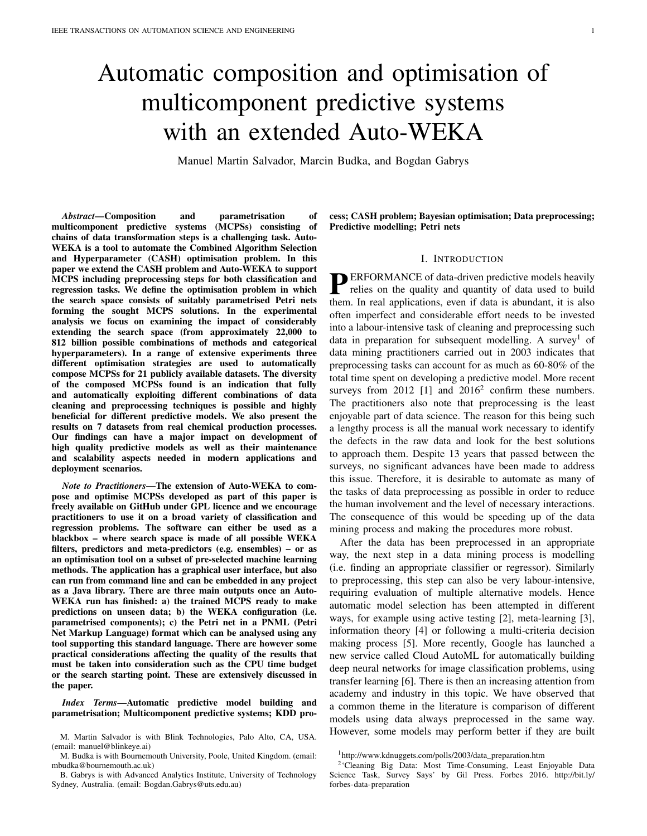#### TABLE II SUMMARY OF SEARCH SPACES. MV = MISSING VALUE REPLACEMENT, OU = OUTLIER DETECTION AND REMOVAL, TR = TRANSFORMATION, DR = DIMENSIONALITY REDUCTION, SA = SAMPLING, P = PREDICTOR,  $MP = META-PREDICTOR, CH = EXPANDING COMPLEX$ HYPERPARAMETERS. \* SIZE CONSIDERING ONLY METHODS, CATEGORICAL AND COMPLEX HYPERPARAMETERS.

|             | OU | TR | DR | SА | MP | CН | $Size*$     |
|-------------|----|----|----|----|----|----|-------------|
| <b>PREV</b> |    |    |    |    |    |    | 21,560      |
| <b>NEW</b>  |    |    |    |    |    |    | 2,369,598   |
| <b>FULL</b> |    |    |    |    |    |    | 812 billion |

|                                                              | TABLE III |  |
|--------------------------------------------------------------|-----------|--|
| NUMBER OF PARAMETERS OF THE AVAILABLE PREPROCESSING METHODS. |           |  |

| Method                            | Num.           | Categorical    |              |  |  |  |
|-----------------------------------|----------------|----------------|--------------|--|--|--|
|                                   |                | Simple         | Complex      |  |  |  |
| Missing values (MV)               |                |                |              |  |  |  |
| No handling                       | $\mathbf{0}$   | 0              | 0            |  |  |  |
| <b>ReplaceMissingValues</b>       | $\Omega$       | $\theta$       | $\theta$     |  |  |  |
| <b>CustomReplaceMissingValues</b> | $\theta$       | М              | 0            |  |  |  |
| ļ<br>$(M)$ Zero                   | 0              | 0              | 0            |  |  |  |
| Ţ<br>(M) Mean                     | $\theta$       | $\theta$       | 0            |  |  |  |
| $\mu$<br>(M) Median               | $\overline{0}$ | $\overline{0}$ | 0            |  |  |  |
| Ţ<br>$(M)$ Min                    | $\theta$       | $\overline{0}$ | 0            |  |  |  |
| $(M)$ Max<br>ļ                    | $\overline{0}$ | $\theta$       | $\theta$     |  |  |  |
| (M) LastKnown<br>Ţ                | $\theta$       | $\theta$       | 0            |  |  |  |
| EMImputation                      | 3              | 1              | 0            |  |  |  |
| <b>Outliers (OU)</b>              |                |                |              |  |  |  |
| No handling                       | $\mathbf{0}$   | $\overline{0}$ | $\mathbf{0}$ |  |  |  |
| <b>RemoveOutliers</b>             | $\overline{0}$ | $\overline{0}$ | О            |  |  |  |
| ļ<br>(O) InterquartileRange (IQR) | $\overline{c}$ | $\theta$       | 0            |  |  |  |
| (O) BaggedLOF<br>ļ                | 1              | 1              | 0            |  |  |  |
| <b>Transformation</b> (TR)        |                |                |              |  |  |  |
| No transformation                 | $\mathbf{0}$   | $\overline{0}$ | 0            |  |  |  |
| Center                            | $\theta$       | $\theta$       | 0            |  |  |  |
| Standardize                       | $\overline{0}$ | $\overline{0}$ | 0            |  |  |  |
|                                   |                |                |              |  |  |  |
| Normalize                         | $\overline{c}$ | $\overline{0}$ | 0            |  |  |  |
| Wavelet                           | $\theta$       | $\theta$       | 0            |  |  |  |
| IndependentComponents             | 3              | 1              | 0            |  |  |  |
| Dimensionality reduction (DR)     |                |                |              |  |  |  |
| No reduction                      | 0              | 0              | 0            |  |  |  |
| PrincipalComponents (PCA)         | 3              | 1              | 0            |  |  |  |
| RandomSubset                      | $\overline{2}$ | 0              | 0            |  |  |  |
| <b>AttributeSelection</b>         | $\overline{0}$ | 0              | S,E          |  |  |  |
| (S) BestFirst<br>Ţ                | 1              | 1              | 0            |  |  |  |
| $\mu$<br>(S) GreedyStepwise       | $\overline{c}$ | 3              | 0            |  |  |  |
| (S) Ranker<br>ļ                   | 1              | 0              | 0            |  |  |  |
| ļ<br>(E) CfsSubsetEval            | $\theta$       | 2              | 0            |  |  |  |
| (E) CorrelationAttributeEval<br>ļ | $\theta$       | $\theta$       | 0            |  |  |  |
| (E) GainRatioAttributeEval<br>Ţ   | $\theta$       | $\theta$       | 0            |  |  |  |
| (E) InfoGainAttributeEval<br>ļ    | $\theta$       | $\overline{c}$ | 0            |  |  |  |
| (E) OneRAttributeEval<br>Ţ        | $\overline{c}$ | 1              | 0            |  |  |  |
| (E) PrincipalComponents<br>ļ      | $\overline{c}$ | 3              | 0            |  |  |  |
| Ţ<br>(E) ReliefFAttributeEval     | $\overline{c}$ | 1              | 0            |  |  |  |
| (E) Sym.UncertAttributeEval<br>ļ  | $\theta$       | 1              | 0            |  |  |  |
| Ţ<br>(E) WrapperSubsetEval        | $\overline{0}$ | $\overline{0}$ | 0            |  |  |  |
| PLSFilter                         | 1              | $\overline{4}$ | $\theta$     |  |  |  |
| Sampling (SA)                     |                |                |              |  |  |  |
| No sampling                       | $\mathbf{0}$   | $\overline{0}$ | 0            |  |  |  |
|                                   | $\overline{c}$ | $\overline{0}$ | 0            |  |  |  |
| Resample                          | $\overline{c}$ | 0              | 0            |  |  |  |
| ReservoirSample                   | 1              | 0              | $\theta$     |  |  |  |
| Periodic sampling                 |                |                |              |  |  |  |

TABLE IV NUMBER OF PARAMETERS OF THE AVAILABLE PREDICTORS.

|                                           | Num.             |                          | Categorical                          |
|-------------------------------------------|------------------|--------------------------|--------------------------------------|
| Method                                    |                  | Simple                   | Complex                              |
| Predictors (P)                            |                  |                          |                                      |
| BayesNet                                  | 0                | 1                        | Q                                    |
| Ļ<br>$(Q)$ local. $K2$                    | 1                | $\overline{4}$           | $\overline{0}$                       |
| ļ<br>(Q) local.HillClimber                | 1                | $\overline{\mathcal{L}}$ | $\boldsymbol{0}$                     |
| (Q) local.LAGDHillClimber                 | 3                | $\overline{4}$           | $\boldsymbol{0}$                     |
| ļ.<br>(Q) local.SimulatedAnnealing        | 3                | $\overline{2}$           | $\boldsymbol{0}$                     |
| (Q) local.TabuSearch                      | 3                | $\overline{4}$           | $\boldsymbol{0}$                     |
| $(Q)$ local.TAN<br>ļ.                     | 0                | $\overline{2}$           | $\boldsymbol{0}$                     |
| NaiveBayes                                | $\mathbf{0}$     | $\overline{2}$           | $\boldsymbol{0}$                     |
| NaiveBayesMultinomial                     | $\overline{0}$   | $\overline{0}$           | $\boldsymbol{0}$                     |
| Logistic                                  | 1                | $\mathbf{0}$             | $\boldsymbol{0}$                     |
| MLP                                       | 6                | 5                        | $\boldsymbol{0}$                     |
| SMO                                       | 1                | $\overline{c}$           | K                                    |
| $\frac{1}{r}$<br>(K) NormalizedPolyKernel | 1                | 1                        | $\boldsymbol{0}$                     |
| (K) PolyKernel<br>Ļ                       | 1                | 1                        | $\boldsymbol{0}$                     |
| $/$ (K) Puk                               | $\overline{c}$   | $\mathbf{0}$             | $\boldsymbol{0}$                     |
| (K) RBFKernel<br>ļ.                       | 1                | $\mathbf{0}$             | $\boldsymbol{0}$                     |
| SimpleLogistic                            | $\mathbf{0}$     | 3                        | $\boldsymbol{0}$                     |
| IBk                                       | 1                | $\overline{4}$           | А                                    |
| Ļ<br>(A) BallTree                         | $\overline{0}$   | 1                        | 2                                    |
| (A) CoverTree<br>ļ.                       | 1                | 1                        | 1                                    |
| (A) KDTree                                | $\overline{c}$   | 1                        | $\overline{c}$                       |
| (A) LinearNNSearch<br>ļ.                  | $\mathbf{0}$     | 1                        | $\boldsymbol{0}$                     |
| KStar                                     | 1                | $\overline{c}$           | $\boldsymbol{0}$                     |
| DecisionTable                             | $\boldsymbol{0}$ | 3                        | S                                    |
| $\frac{1}{2}$ (S) BestFirst               | 1                | $\overline{2}$           | $\boldsymbol{0}$                     |
| (S) GreedyStepwise<br>ļ.                  | $\overline{c}$   | 3                        | $\boldsymbol{0}$                     |
| (S) Ranker<br>ļ.                          | 1                | $\overline{0}$           | $\boldsymbol{0}$                     |
| JRip                                      | 2                | 2                        | 0                                    |
| OneR                                      | 1                | $\boldsymbol{0}$         | $\boldsymbol{0}$                     |
| PART                                      | 2                | 2                        | $\boldsymbol{0}$                     |
| ZeroR                                     | $\overline{0}$   | $\boldsymbol{0}$         | $\boldsymbol{0}$                     |
| DecisionStump                             | $\boldsymbol{0}$ | 0                        | $\boldsymbol{0}$                     |
| J48                                       | 2<br>1           | 5                        | $\boldsymbol{0}$<br>$\boldsymbol{0}$ |
| LMT                                       | 2                | 6<br>$\overline{c}$      | $\boldsymbol{0}$                     |
| REPTree<br>RandomForest                   | 3                | $\overline{2}$           | $\boldsymbol{0}$                     |
| RandomTree                                | 4                | $\overline{4}$           | $\theta$                             |
| Meta-predictors (MP)                      |                  |                          |                                      |
| LWL                                       | 0                | 2                        | А                                    |
| $\angle$ (A) BallTree                     | 0                | 1                        | 2                                    |
| $/$ (A) CoverTree                         | 1                | 1                        | 1                                    |
| (A) KDTree<br>ļ.                          | 2                | 1                        | 2                                    |
| (A) LinearNNSearch<br>ļ.                  | $\mathbf{0}$     | 1                        | $\boldsymbol{0}$                     |
| AdaBoostM1                                | 2                | 3                        | $\boldsymbol{0}$                     |
| AttributeSelectedClassifier               | $\overline{0}$   | $\overline{0}$           | S.E                                  |
| (S) BestFirst<br>Ţ                        | 1                | 1                        | 0                                    |
| / (S) GreedyStepwise                      | $\overline{2}$   | 3                        | $\mathbf{0}$                         |
| (S) Ranker<br>ļ                           | 1                | 0                        | 0                                    |
| (E) CfsSubsetEval<br>Ţ                    | 0                | 2                        | 0                                    |
| (E) GainRatioAttributeEval<br>Ľ           | 0                | 0                        | $\boldsymbol{0}$                     |
| (E) InfoGainAttributeEval<br>ļ            | 0                | 2                        | 0                                    |
| (E) OneRAttributeEval<br>J                | 2                | 1                        | 0                                    |
| (E) WrapperSubsetEval<br>ļ                | 0                | 0                        | 0                                    |
| Bagging                                   | 2                | 1                        | 0                                    |
| ClassificationViaRegression               | 0                | $\boldsymbol{0}$         | 0                                    |
| FilteredClassifier                        | 0                | $\boldsymbol{0}$         | 0                                    |
| LogitBoost                                | 5                | 4                        | 0                                    |
| MultiClassClassifier                      | 1                | 2                        | 0                                    |
| <b>RandomCommittee</b>                    | 1                | $\boldsymbol{0}$         | 0                                    |
| RandomSubSpace                            | 2                | 0                        | 0                                    |
| Stacking                                  | 0                | 1                        | 0                                    |
| Vote                                      | 0                | 1                        | $\boldsymbol{0}$                     |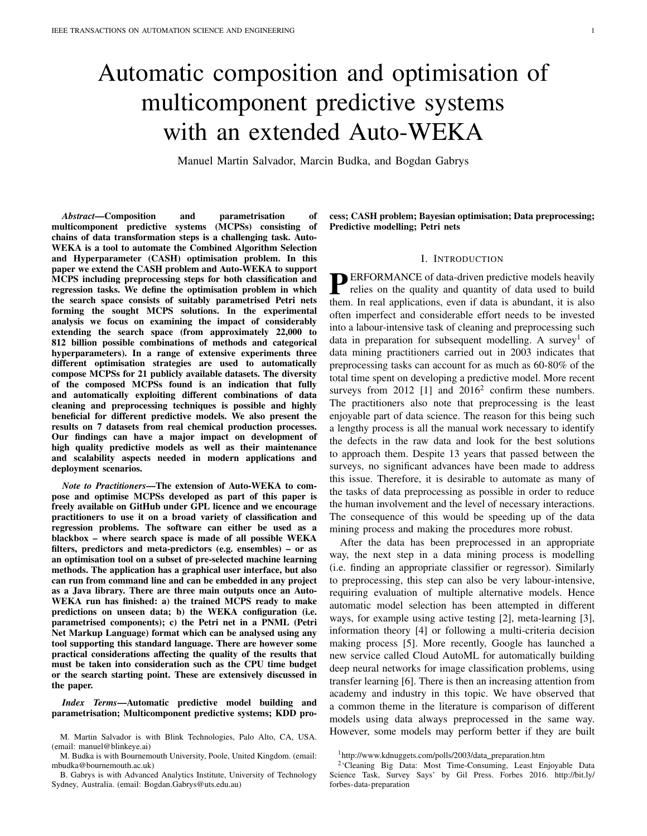Two SMBO strategies (SMAC and TPE) have been compared against two baselines (WEKA-Def and random search). The following experimental scenarios were devised:

WEKA-Def: All the predictors and meta-predictors listed in Table IV are run using WEKA's default hyperparameter values. Filters are not included in this strategy, although some predictors may perform specific preprocessing steps as part of their default behaviour.

Random search: The whole search space is randomly explored allowing 30 CPU core-hours for the process.

SMAC and TPE: An initial configuration is randomly selected and then the optimiser is run for 30 CPU corehours to explore the search space in an intelligent way, allowing for comparison with the random search.

In order to compare our results with the ones presented in [16] we have replicated the experimental settings as closely as possible. We have evaluated different optimisation strategies over 21 well-known datasets representing classification tasks (see Table V). Each dataset  $D = fD_{train}$ ;  $D_{test}g$  has been split into 70% training and 30% testing sets, unless partition was already provided. Please note that  $D_{train}$  is then split into 10-folds for Eq. 6 and therefore  $D_{test}$  is not used during the optimisation or training process at all (see Figure 4).

For each strategy we performed 25 runs with different random seeds within a 30 CPU core-hours optimisation time limit on Intel Xeon E5-2620 six-core 2.00GHz CPU. In the case a configuration step exceeds 30 minutes or 3GB of RAM to evaluate, its evaluation is aborted and not considered further. Once the optimisation process has finished, the returned MCPS is trained using the whole training set  $D_{train}$  and produce predictions for the testing set  $D_{test}$ . Please note that this budget limit may imply not finding the optimal solution in the optimisation problem.

Holdout error over  $D_{test}$  is denoted as  $E = L(Y_{test}; \hat{Y}_{test})$ . Random search, SMAC and TPE results have been calculated using the mean of 100,000 bootstrap samples (randomly selecting 4 of the 25 runs and keeping the one with lowest CV error as in original Auto-WEKA paper [16]), while only the lowest errors are reported for WEKA-Def.

## V. RESULTS

We organised our analysis around the following aspects: a) usefulness of automatic composition and parametrisation of MCPS; b) how efficient are Bayesian optimisation approaches (SMAC and TPE) in comparison to random search; c) impact of significantly extending the search space in the optimisation process; and d) identification of promising methods for each dataset.

#### *A. Usefulness of automatic composition and parametrisation*

An interesting aspect to analyse is if 30 CPU-core hours of automatic optimisation can beat a quick running of all WEKA classifiers with default hyperparameters. Table VI shows the results of Auto-WEKA experiments in the NEW search space using RANDOM, SMAC and TPE strategies compared to the WEKA-Def strategy. Not surprisingly, Auto-WEKA has been able to find better results for all datasets  $( > 0)$ . In fact,

TABLE V DATASETS, CONTINUOUS AND CATEGORICAL ATTRIBUTE COUNT, NUMBER OF CLASSES, AND NUMBER OF INSTANCES.

| <b>Dataset</b> | Cont     | <b>Disc</b>    | <b>Class</b>   | <b>Train</b> | <b>Test</b> |
|----------------|----------|----------------|----------------|--------------|-------------|
| abalone        | 7        | 1              | 28             | 2924         | 1253        |
| amazon         | 10000    | $\theta$       | 50             | 1050         | 450         |
| car            | 0        | 6              | 4              | 1210         | 518         |
| cifar10        | 3072     | 0              | 10             | 50000        | 10000       |
| cifar10small   | 3072     | $\theta$       | 10             | 10000        | 10000       |
| convex         | 784      | $\theta$       | 2              | 8000         | 50000       |
| dexter         | 20000    | 0              | 2              | 420          | 180         |
| dorothea       | 100000   | $\Omega$       | $\overline{c}$ | 805          | 345         |
| germancredit   | 7        | 13             | 2              | 700          | 300         |
| gisette        | 5000     | 0              | $\overline{c}$ | 4900         | 2100        |
| kddcup09app    | 192      | 38             | $\overline{c}$ | 35000        | 15000       |
| krvskp         | $\theta$ | 36             | 2              | 2238         | 958         |
| madelon        | 500      | $\overline{0}$ | $\overline{c}$ | 1820         | 780         |
| mnist          | 784      | 0              | 10             | 12000        | 50000       |
| mnistrot       | 784      | $\theta$       | 10             | 12000        | 50000       |
| secom          | 590      | $\theta$       | $\overline{c}$ | 1097         | 470         |
| semeion        | 256      | 0              | 10             | 1116         | 477         |
| shuttle        | 9        | $\theta$       | 7              | 43500        | 14500       |
| waveform       | 40       | $\theta$       | 3              | 3500         | 1500        |
| wineqw         | 11       | 0              | 11             | 3429         | 1469        |
| yeast          | 8        | $\theta$       | 10             | 1039         | 445         |

Auto-WEKA presents a significant improvement in 19 out of 21 datasets.

#### *B. Effectiveness of Bayesian optimisation over random search*

Another interesting aspect is to analyse how Bayesian optimisation approaches perform in comparison with just a random search. Table VII presents the results of Auto-WEKA runs for RANDOM, SMAC and TPE strategies in the NEW search space. SMAC has been able to find significantly better results in all datasets but one. Similarly, TPE outperforms random search in 18 out of 21 datasets.

## *C. Impact of extending the search space*

As shown in Table II, the size between search spaces vary a lot: PREV with over 21 thousands; NEW with over 2 million; and FULL with over 812 billion possible solutions. We are interested on analysing the impact of extending the search space in the classification performance for each strategy.

Table VIII presents the results of RANDOM, SMAC and TPE over the three different search spaces. In the majority of cases (52 of 63), the MCPSs found in the NEW search space achieve significantly better results than in the smaller search space PREV. In 32 out of 63 cases, the FULL search space also gets significantly better performance than in PREV. However, finding good MCPS within the same time budget (30 CPU-core hours) is more challenging due to a large increase in the search space size [37]. As an example, consider Figure 5 where the evolution of the best solution for 'madelon' dataset and SMAC strategy is represented over time for each of the 25 runs. Comparing Figures 5-a) and b) we can see that the rate of convergence is much higher in the smaller space (denoted as NEW). Nevertheless, the overall best-performing model for 'madelon' was found in the FULL space as seen in Table IX.

The way in which the search space is extended can have a considerable impact on the accuracy of the MCPS found.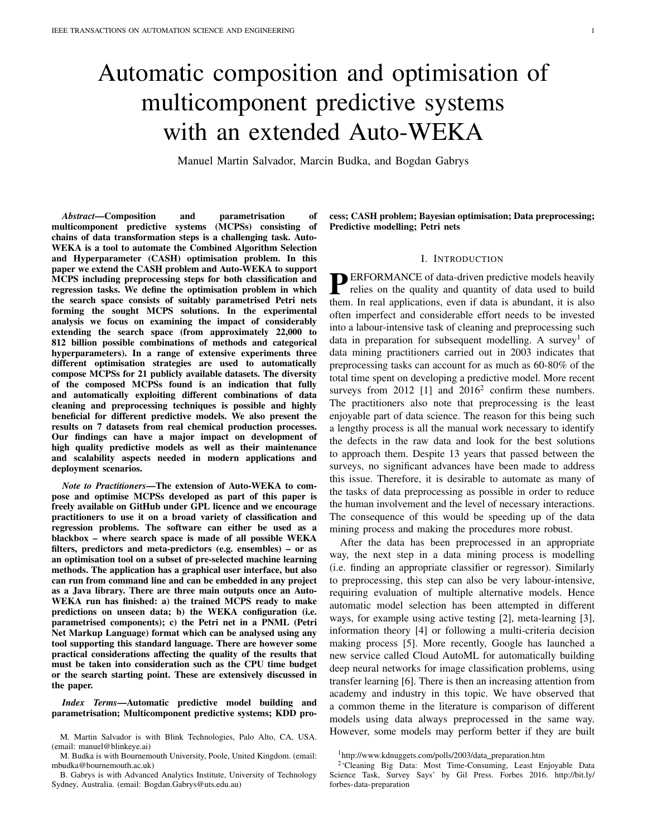#### **TABLE VI**

HOLDOUT ERROR E (% MISSCLASSIFICATION). LOWEST ERRORS REPORTED FOR WEKA-DEF AND AUTO-WEKA, BEING THE DIFFERENCE BETWEEN THE TWO. AGGREGATED MEAN HOLDOUT ERROR AND STANDARD DEVIATION ( ) FOR ALL AUTO-WEKA STRATEGIES AND SEARCH SPACES IS REPORTED. EACH AUTO-WEKA RUN HAD A 30 CPU CORE-HOURS BUDGET. AN UPWARD ARROW INDICATES A STATISTICALLY SIGNIFICANT IMPROVEMENT ( $p < 0.05$ ) with respect to best WEKA-DEF USING ONE-SAMPLE WILCOXON SIGNED-RANK TEST.

|                | <b>Best</b> | <b>Best</b>        |               | <b>Mean</b>      |        |                |
|----------------|-------------|--------------------|---------------|------------------|--------|----------------|
| <b>Dataset</b> |             | WEKA-Def Auto-WEKA |               | <b>Auto-WEKA</b> |        |                |
| abalone        | 73.18       | 71.43              | 1.75          | 73.12            | 0.62   | $\overline{u}$ |
| amazon         | 28.44       | 26.67              | 1.77          | 37.07            | 6.61   |                |
| car            | 0.77        | 0.00               | 0.77          | 0.06             | 0.12   | $\overline{u}$ |
| cifar10        | 64.27       | 52.28              | 11.99         | 56.21            | 3.47   | $\overline{u}$ |
| cifar10small   | 65.91       | 54.48              | 11.43         | 58.04            | 3.39   | $\overline{u}$ |
| convex         | 25.96       | 18.47              | 7.49          | 22.89            | 2.07   | $\overline{u}$ |
| dexter         | 8.89        | 5.00               | 3.89          | 7.50             | 1.23   | $\overline{u}$ |
| dorothea       | 6.96        | 4.64               | 2.32          | 5.22             | 0.21   | $\mathbf{u}$   |
| germancredit   | 27.33       | 23.33              | 4.00          | 25.44            | 1.38   | $\mathbf{u}$   |
| gisette        | 2.81        | 1.95               | 0.86          | 2.33             | 0.24   | $\mathbf{u}$   |
| kddcup09app    | 1.7405      |                    | 1.6700 0.0705 | 1.7339           | 0.0191 | $\overline{u}$ |
| krvskp         | 0.31        | 0.10               | 0.21          | 0.31             | 0.12   |                |
| madelon        | 21.38       | 15.64              | 5.74          | 17.61            | 1.44   | $\overline{u}$ |
| mnist          | 5.19        | 2.66               | 2.53          | 4.01             | 0.61   | $\overline{u}$ |
| mnistr         | 63.14       | 52.20              | 10.94         | 56.10            | 2.43   | $\overline{u}$ |
| secom          | 8.09        | 7.66               | 0.43          | 7.86             | 0.07   | $\overline{u}$ |
| semion         | 8.18        | 3.98               | 4.20          | 4.93             | 0.48   | $\mathbf{u}$   |
| shuttle        | 0.0138      |                    | 0.0100 0.0038 | 0.0100           | 0.0004 | $\overline{u}$ |
| waveform       | 14.40       | 14.00              | 0.40          | 14.26            | 0.15   | $\mathbf{u}$   |
| wineqw         | 37.51       | 32.33              | 5.18          | 32.94            | 0.43   | $\overline{u}$ |
| yeast          | 40.45       | 36.40              | 4.05          | 37.73            | 0.74   | $\mathbf{u}$   |

Additional hyperparameters allowing for extra tuning flexibility (PREV to NEW) improved the performance in most of the cases. However, adding more transitions to the MCPS (NEW) to FULL) does not seem to help on average, given the same CPU time limit. Nevertheless, the best MCPSs found in the FULL search space for 13 out of 28 datasets have better or comparable performance to the best solutions found in the NEW space as shown in Table IX.

## D. Identifying promising configurations

The best MCPSs found for each dataset are reported in Table IX, where each row represents a sequence of data transformations and predictive models as explained in Section IV. The solutions found for different datasets are quite diverse, and they often also vary a lot across the 25 random runs performed for each dataset. In order to better understand the observed differences in the MCPSs found we have also measured the average pairwise similarity of the 25 MCPSs found for each dataset and the variance of their performances (see Figure 6). To calculate the similarity between configurations a weighted sum of Hamming distances given by

$$
d\left(\begin{array}{cc}a_{i} & b\end{array}\right)=1 \qquad \frac{\sum_{i=1}^{n} (l_{i} & i)}{\sum_{i=1}^{n} l_{i}} \tag{7}
$$

is used, where  $a$  and  $b$  are MCPSs with N transitions,  $l_i$  2 is the weight for the *th transition and*  $*j*$  *is the* Hamming distance (a standard measure of string dissimilarity) of components at position *i*.

Weights have been fixed manually to  $=$  f2;1.5g in the NEW search space and  $= f(1, 1, 1, 1, 1, 2, 1.5g)$  in the FULL search space. One could however set the weights in a different

MEAN HOLDOUT ERROR  $E$  (% missclassification) and standard DEVIATION ( ) FOR RANDOM, SMAC AND TPE STRATEGIES IN THE NEW SEARCH SPACE. EACH AUTO-WEKA RUN HAD A 30 CPU CORE-HOURS BUDGET. AN UPWARD ARROW INDICATES A STATISTICALLY SIGNIFICANT IMPROVEMENT ( $p < 0.05$ ) with respect to RANDOM USING WILCOXON SIGNED-RANK TEST.

| <b>Dataset</b> |        | <b>RANDOM</b> |        | <b>SMAC</b> |                | <b>TPE</b> |        |                |  |  |
|----------------|--------|---------------|--------|-------------|----------------|------------|--------|----------------|--|--|
|                |        |               |        |             |                |            |        |                |  |  |
| abalone        | 72.52  | 0.22          | 72.21  | 0.13        | $\overline{u}$ | 72.01      | 0.21   | $\overline{u}$ |  |  |
| amazon         | 45.75  | 8.69          | 39.54  | 5.96        | $\mathbf{u}$   | 40.24      | 5.42   | $\overline{u}$ |  |  |
| car            | 0.47   | 0.16          | 0.38   | 0.12        | $\overline{u}$ | 0.21       | 0.10   | $\overline{u}$ |  |  |
| cifar10        | 58.91  | 3.67          | 56.44  | 2.90        | $\mathbf{u}$   | 55.60      | 2.77   | $\mathbf{u}$   |  |  |
| cifar10small   | 60.44  | 4.08          | 57.91  | 2.54        | $\mathbf{u}$   | 56.57      | 1.79   | $\mathbf{u}$   |  |  |
| convex         | 25.03  | 1.83          | 21.88  | 1.37        | $\mathbf{u}$   | 23.19      | 1.12   | $\overline{u}$ |  |  |
| dexter         | 7.54   | 1.25          | 6.42   | 0.42        | $\overline{u}$ | 6.19       | 0.49   | $\overline{u}$ |  |  |
| dorothea       | 6.25   | 0.56          | 5.95   | 0.49        | $\mathbf{u}$   | 5.92       | 0.53   | $\overline{u}$ |  |  |
| germancredit   | 21.31  | 0.34          | 19.66  | 0.75        | $\mathbf{u}$   | 19.89      | 0.40   | $\mathbf{u}$   |  |  |
| gisette        | 2.30   | 0.28          | 2.21   | 0.31        | $\overline{u}$ | 2.35       | 0.23   |                |  |  |
| kddcup09app    | 1.8000 | 0.0000        | 1.7985 | .0036<br>0  | $\overline{u}$ | 1.8000     | 0.0000 |                |  |  |
| krvskp         | 0.42   | 0.03          | 0.28   | 0.02        | $\overline{u}$ | 0.31       | 0.03   | $\overline{u}$ |  |  |
| madelon        | 19.20  | 1.91          | 15.61  | 0.70        | $\mathbf{u}$   | 16.03      | 0.41   | $\overline{u}$ |  |  |
| mnist          | 3.78   | 0.57          | 3.49   | 0.63        | $\mathbf{u}$   | 3.60       | 0.59   | $\mathbf{u}$   |  |  |
| mnistr         | 58.09  | 1.54          | 55.75  | 2.44        | $\mathbf{u}$   | 57.17      | 2.13   | $\overline{u}$ |  |  |
| secom          | 5.85   | 0.35          | 6.00   | 0.09        |                | 5.85       | 0.41   |                |  |  |
| semeion        | 4.82   | 0.35          | 4.48   | 0.47        | $\mathbf{u}$   | 4.28       | 0.37   | $\overline{u}$ |  |  |
| shuttle        | 0.0109 | 0.0028        | 0.0103 | 0.0016      | $\overline{u}$ | 0.0107     | 0.0026 | $\mathbf{u}$   |  |  |
| waveform       | 12.50  | (0.09)        | 12.33  | 0.08        | $\mathbf{u}$   | 12.43      | 0.04   | $\mathbf{u}$   |  |  |
| wineqw         | 33.08  | 0.24          | 32.64  | 0.27        | $\overline{u}$ | 32.67      | 0.18   | $\mathbf{u}$   |  |  |
| yeast          | 37.16  | 0.34          | 36.50  | 0.35        | $\overline{u}$ | 36.17      | 0.23   | $\mathbf{u}$   |  |  |

way depending on what components are believed to be more relevant. In this case, preprocessing transitions have the same weight while both predictors and meta-predictors have higher weights because of their importance [37].

It is worth mentioning that most of the MCPSs found for the 'waveform' dataset include a missing value replacement method even though there are no missing values in this dataset and therefore it doesn't have any effect on the data or the classification performance. The presence of such an unnecessary component likely stems from the fact that selecting a method for replacing missing values at random has a prior probability of  $0.75$  (i.e. 3 out of 4 possible actions as seen in Table IV) which means that it can be selected when randomly initialising the configurations of MCPSs to start from and using the search method which does not penalise unnecessary elements in the data processing chains. However, it is not the case with other components like 'Transformation' in which although the prior probability of selecting one of the available transformation methods is 5/6, selecting an appropriate method has a potential impact on the performance and therefore better transformation methods tend to be retained in the found solutions.

For illustrative purposes we have selected three interesting cases from Figure 6 for a more detailed analysis:

Low error variance and high MCPS similarity. Most of the best solutions found follow a very similar sequence of methods. Therefore similar classification performance is to be expected. For example, a repeated sequence in 'car' dataset with TPE optimisation is MultiLayerPerceptron  $(13/25)$  / AdaBoostM1 (22/25).

Low error variance and low MCPS similarity. Despite having different solutions, classification performance in a group of analysed datasets does not vary much. This can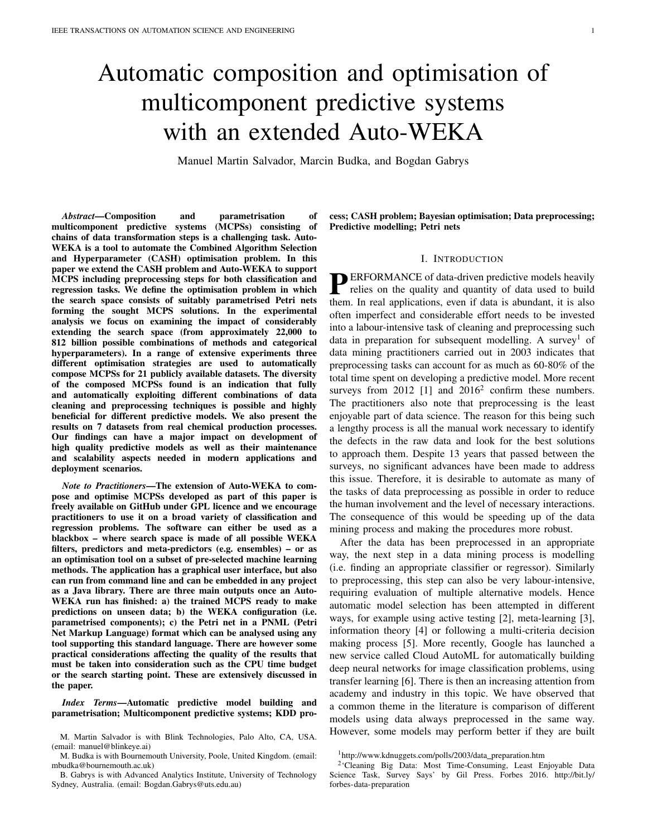$\overline{30}$ 

#### TABLE VIII

MEAN HOLDOUT ERROR E (% MISSCLASSIFICATION) AND STANDARD DEVIATION () FOR RANDOM, SMAC AND TPE WITH A 30 CPU CORE-HOURS BUDGET PER RUN. PREV COLUMNS CONTAIN THE VALUES REPORTED IN [16], WHILE NEW AND FULL COLUMNS CONTAIN THE RESULTS FOR THE SEARCH SPACES DESCRIBED IN SECTION IV. BOLDFACED VALUES INDICATE THE LOWEST MEAN CLASSIFICATION ERROR FOR EACH DATASET. AN UPWARD ARROW INDICATES A STATISTICALLY SIGNIFICANT IMPROVEMENT ( $p < 0.05$ ) with respect to PREV search space using one-sample WILCOXON SIGNED-RANK TEST.

| dataset      | <b>RANDOM</b> |               |            |  |        |             |  | <b>SMAC</b> |               |            |  |        |               | <b>TPE</b>     |             |        |            |  |        |             |  |
|--------------|---------------|---------------|------------|--|--------|-------------|--|-------------|---------------|------------|--|--------|---------------|----------------|-------------|--------|------------|--|--------|-------------|--|
|              | <b>PREV</b>   |               | <b>NEW</b> |  |        | <b>FULL</b> |  | <b>PREV</b> |               | <b>NEW</b> |  |        | <b>FULL</b>   |                | <b>PREV</b> |        | <b>NEW</b> |  |        | <b>FULL</b> |  |
|              |               |               |            |  |        |             |  |             |               |            |  |        |               |                |             |        |            |  |        |             |  |
| abalone      | 74.88         | 72.92         | 0.78       |  | 73.76  | 0.48        |  | 73.51       | 73.40         | 0.50       |  | 73.16  | 0.66          |                | 72.94       | 73.03  | 0.40       |  | 73.26  | 0.54        |  |
| amazon       | 41.11         | 39.18         | 9.17       |  | 56.65  | 15.60       |  | 33.99       | 36.28         | 4.41       |  | 49.11  | 16.00         |                | 36.59       | 35.71  | 4.60       |  | 54.06  | 11.79       |  |
| car          | 0.01          | 0.13          | 0.15       |  | 1.84   | 1.04        |  | 0.40        | 0.05          | 0.11       |  | 0.20   | 0.23          | $\overline{u}$ | 0.18        | 0.01   | 0.04       |  | 0.05   | $0.12$ "    |  |
| cifar10      | 69.72         | 58.21         | 3.65       |  | 66.59  | 3.35        |  | 61.15       | 55.52         | 2.90       |  | 68.55  | 3.71          |                | 66.01       | 54.88  | 2.82       |  | 65.30  | 4.29        |  |
| cifar10small | 66.12         | 59.85         | 4.32       |  | 71.61  | 4.55        |  | 56.84       | 57.85         | 2.62       |  | 71.82  | 8.07          |                | 57.01       | 56.43  | 1.74       |  | 68.40  | 7.00        |  |
| convex       | 31.20         | 24.76         | 1.90       |  | 33.02  | 5.32        |  | 23.17       | 21.31         | 1.48       |  | 24.52  | 2.17          |                | 25.59       | 22.62  | 1.03       |  | 30.57  | 3.74        |  |
| dexter       | 9.18          | 8.27          | 1.19       |  | 11.27  | 2.70        |  | 7.49        | 7.31          | 0.85       |  | 8.13   | 4.02          |                | 8.89        | 6.90   | 1.18       |  | 8.00   | $1.82$ "    |  |
| dorothea     | 5.22          | 5.27          | 0.15       |  | 5.37   | 0.40        |  | 6.21        | 5.12          | 0.27       |  | 5.49   | 0.35          |                | 6.15        | 5.25   | 0.16       |  | 5.12   | 0.31        |  |
| germancredit | 29.03         | 25.40         | 1.56       |  | 26.87  | 1.42        |  | 28.24       | 25.43         | 1.55       |  | 26.67  | 1.20          |                | 27.54       | 25.49  | 0.95       |  | 26.63  | 1.24        |  |
| gisette      | 4.62          | 2.28          | 0.24       |  | 3.36   | 1.39        |  | 2.24        | 2.35          | 0.26       |  | 2.74   | 1.57          |                | 3.94        | 2.37   | 0.19       |  | 2.86   | 0.46        |  |
| kddcup09app  | 1.7400        | 1.7214        | 0296       |  | 1.7403 | 0.1103      |  | 1.7358      | .7400         | .0000      |  |        | 1.7400 0.0000 |                | 1.7381      | .7400  | .0000      |  | 1.7400 | 0.0000      |  |
| krvskp       | 0.58          | 0.34          | 0.10       |  | 0.39   | 0.15        |  | 0.31        | 0.23          | 0.11       |  | 0.39   | 0.07          |                | 0.54        | 0.36   | 0.09       |  | 0.33   | $0.08$ "    |  |
| madelon      | 24.29         | 19.11         | 1.30       |  | 23.80  | 4.53        |  | 21.56       | 16.80         | 0.95       |  | 17.16  | 3.68          |                | 21.12       | 16.91  | 0.52       |  | 17.59  | $2.59$ "    |  |
| mnist        | 5.05          | 4.00          | 0.68       |  | 10.93  | 5.57        |  | 3.64        | 4.08          | 0.38       |  | 10.57  | 6.83          |                | 12.28       | 3.96   | 0.73       |  | 12.32  | 9.13        |  |
| mnistr       | 66.40         | 57.15         | 1.80       |  | 65.89  | 4.83        |  | 57.04       | 54.84         | 2.51       |  | 65.48  | 5.62          |                | 70.20       | 56.30  | 2.33       |  | 63.90  | $5.36$ "    |  |
| secom        | 8.03          | 7.88          | 0.05       |  | 7.87   | 0.00        |  | 8.01        | 7.87          | 0.01       |  | 7.87   | 0.00          |                | 8.10        | 7.84   | 0.08       |  | 7.87   | $0.00$ "    |  |
| semeion      | 6.10          | 4.78          | 0.59       |  | 8.20   | 1.40        |  | 5.08        | 5.09          | 0.49       |  | 5.46   | 0.77          |                | 8.26        | 4.91   | 0.21       |  | 6.31   | 1.12        |  |
| shuttle      |               | 0.0157 0.0100 | .0005      |  | 0.0217 | 0.0225      |  |             | 0.0130 0.0100 | .0005      |  | 0.0075 | .0054<br>1    |                | 0.0145      | 0.0100 | 0003       |  | 0.0077 | $.0029$ "   |  |
| waveform     | 14.27         | 14.26         | 0.16       |  | 14.28  | 0.46        |  | 14.42       | 14.17         | 0.09       |  | 13.99  | 0.30          |                | 14.23       | 14.34  | 0.14       |  | 14.05  | 0.25        |  |
| wineqw       | 34.41         | 32.99         | 0.58       |  | 36.64  | 1.48        |  | 33.95       | 32.89         | 0.31       |  | 34.14  | 0.76          |                | 33.56       | 32.93  | 0.33       |  | 34.09  | 0.44        |  |
| yeast        | 43.15         | 37.68         | 0.75       |  | 40.86  | 1.05        |  | 40.67       | 37.60         | 0.64       |  | 39.01  | 0.78          |                | 40.10       | 37.89  | 0.78       |  | 38.91  | 0.66        |  |



Fig. 5. 10-fold CV error of best solutions found over time for 'madelon' dataset and SMAC strategy in a) NEW and b) FULL search spaces.

mean that the classification problem is not difficult and a range of different MCPSs can perform quite well on it. This is for instance the case of the solutions found for the 'secom' and 'kddcup09app' datasets.

High error variance and low MCPS similarity. In such cases, there are many differences between both the best MCPSs found and their classification performances. For instance, it is the case of 'amazon' dataset for which a high error variance was observed in all of the optimisation strategies (see Figure 6). We believe such difference likely results from a combination of difficulty of the classification task (i.e. high input dimensionality, large number of classes and a relatively small number of training samples)

and/or insufficient exploration from the random starting configuration in a very large space.

#### VI. APPLICATION TO PROCESS INDUSTRY

One motivation for automating the composition and optimisation of MCPSs was the need for speeding up the process of developing soft-sensors [38], which are predictive models based on easy-to-measure quantities used in the process industry. Main applications of soft-sensors are online prediction [39], process monitoring [40] and fault detection [41]. The most popular methods for process monitoring include Principal Component Analysis (PCA [42]) in a combination with a predictor, Multi-Layer Perceptron (MLP [43]), Radial Basis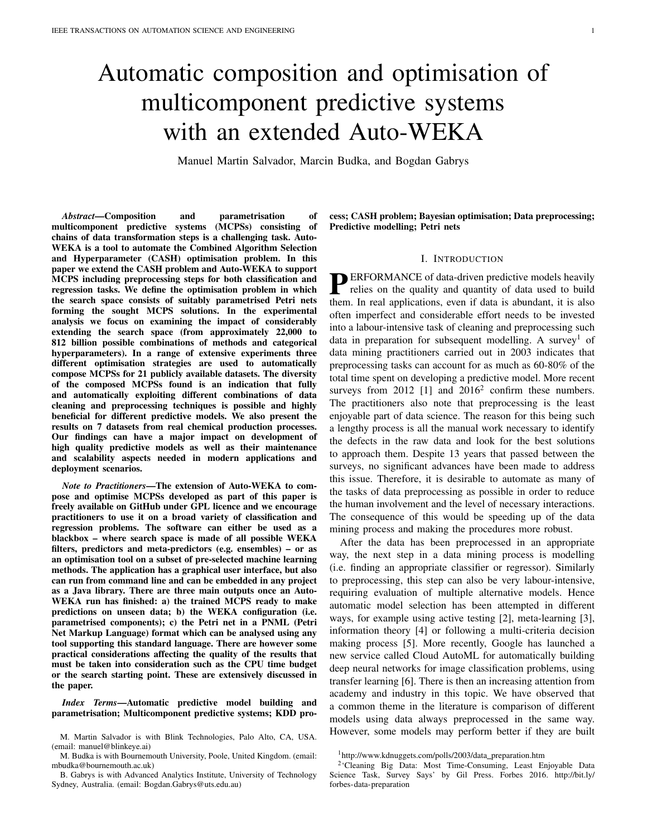#### TABLE IX

BEST MCPS FOR EACH DATASET IN NEW AND FULL SPACES AND ITS HOLDOUT ERROR. MV = MISSING VALUE REPLACEMENT, OU = OUTLIER DETECTION AND REMOVAL, TR = TRANSFORMATION, DR = DIMENSIONALITY REDUCTION, SA = SAMPLING.

| dataset      | space                   | $\overline{\text{MV}}$   | $\overline{\text{OU}}$   | $\overline{\text{TR}}$   | $\overline{\text{DR}}$   | $\overline{\text{SA}}$    | predictor               | meta-predictor              | E     |
|--------------|-------------------------|--------------------------|--------------------------|--------------------------|--------------------------|---------------------------|-------------------------|-----------------------------|-------|
| abalone      | <b>NEW</b>              |                          |                          |                          |                          |                           | $\overline{\text{MLP}}$ | RandomCommittee             | 71.43 |
|              | <b>FULL</b>             | Median                   | $\overline{\phantom{a}}$ | Center                   | <b>RandomSubset</b>      | Resample                  | Logistic                | Bagging                     | 72.39 |
|              | <b>NEW</b>              |                          | $\overline{a}$           |                          |                          |                           | SimpleLogistic          | <b>RandomSubSpace</b>       | 26.67 |
| amazon       | <b>FULL</b>             | Min                      | $\overline{\phantom{a}}$ | Normalize                | <b>RandomSubset</b>      | ÷,                        | NaiveBayesMult.         | RandomSubSpace              | 20.89 |
|              | <b>NEW</b>              | $\overline{a}$           | $\overline{\phantom{a}}$ |                          |                          |                           | $\overline{\text{SMO}}$ | <b>MultiClassClassifier</b> | 0.00  |
| car          | <b>FULL</b>             |                          | ä,                       | Standardize              |                          | Resample                  | <b>SMO</b>              | AdaBoostM1                  | 0.00  |
| cifar10      | <b>NEW</b>              | ÷,                       | $\overline{a}$           |                          |                          |                           | <b>RandomForest</b>     | MultiClassClassifier        | 52.28 |
|              | <b>FULL</b>             | L,                       | ä,                       | L,                       |                          | Resample                  | RandomTree              | Bagging                     | 59.63 |
| cifar10small | <b>NEW</b>              | L.                       |                          |                          |                          |                           | <b>RandomTree</b>       | MultiClassClassifier        | 54.48 |
|              | <b>FULL</b>             | $\overline{a}$           | $\overline{\phantom{a}}$ | ÷,                       | <b>RandomSubset</b>      | $\overline{\phantom{a}}$  | RandomTree              | AdaBoostM1                  | 59.97 |
|              | <b>NEW</b>              | L.                       | L,                       |                          | $\overline{\phantom{a}}$ |                           | <b>RandomForest</b>     | AdaBoostM1                  | 18.47 |
| convex       | <b>FULL</b>             | $\overline{a}$           | $\overline{\phantom{a}}$ | Center                   | ÷,                       | Resample                  | <b>RandomTree</b>       | AdaBoostM1                  | 22.97 |
|              | <b>NEW</b>              | L.                       |                          |                          |                          |                           | DecisionStump           | AdaBoostM1                  | 5.00  |
| dexter       | <b>FULL</b>             | $\overline{a}$           | $\overline{\phantom{a}}$ | $\overline{\phantom{m}}$ | $\overline{\phantom{a}}$ | Resample                  | VotedPerceptron         | AdaBoostM1                  | 5.00  |
| dorothea     | <b>NEW</b>              | ÷,                       | $\overline{\phantom{a}}$ |                          |                          |                           | OneR                    | <b>RandomSubSpace</b>       | 4.64  |
|              | <b>FULL</b>             | ÷,                       | $\overline{\phantom{a}}$ | Standardize              | $\overline{a}$           | REPTree<br>$\overline{a}$ |                         | LogitBoost                  | 4.64  |
|              | <b>NEW</b>              | L.                       | L.                       |                          |                          | ÷.                        | <b>LMT</b>              | <b>Bagging</b>              | 23.33 |
| germancredit | <b>FULL</b>             | Zero                     | $\overline{\phantom{a}}$ | Standardize              | <b>RandomSubset</b>      | L,                        | LMT                     | Bagging                     | 24.33 |
|              | $\overline{\text{NEW}}$ | L.                       | $\overline{a}$           |                          |                          | $\overline{a}$            | <b>NaiveBayes</b>       | <b>LWL</b>                  | 1.95  |
| gisette      | <b>FULL</b>             | $\overline{a}$           | $\overline{\phantom{a}}$ | $\overline{\phantom{a}}$ | $\overline{\phantom{a}}$ | $\overline{\phantom{a}}$  | VotedPerceptron         | RandomSubSpace              | 1.52  |
| kddcup09app  | <b>NEW</b>              | $\overline{\phantom{a}}$ | L.                       |                          |                          |                           | ZeroR                   | <b>LWL</b>                  | 1.67  |
|              | <b>FULL</b>             | L,                       | IQR                      | Standardize              | Attr. Selection          | Reservoir                 | BayesNet                | MultiClassClassifier        | 1.74  |
|              | <b>NEW</b>              | L.                       | L.                       |                          |                          |                           | <b>JRip</b>             | AdaBoostM1                  | 0.10  |
| krvskp       | <b>FULL</b>             | ÷,                       | $\overline{\phantom{a}}$ | Normalize                | $\overline{\phantom{a}}$ |                           | <b>JRip</b>             | AdaBoostM1                  | 0.21  |
| madelon      | <b>NEW</b>              | $\overline{a}$           | $\overline{a}$           | $\overline{a}$           |                          | $\overline{a}$            | <b>REPTree</b>          | RandomSubSpace              | 15.64 |
|              | <b>FULL</b>             |                          | $\overline{\phantom{a}}$ | $\overline{a}$           | <b>PCA</b>               | $\overline{a}$            | <b>IBk</b>              | LogitBoost                  | 12.82 |
| mnist        | <b>NEW</b>              |                          | $\overline{a}$           |                          |                          |                           | SMO                     | MultiClassClassifier        | 2.66  |
|              | <b>FULL</b>             | Zero                     | $\overline{\phantom{a}}$ | Center                   |                          | $\overline{\phantom{a}}$  | J48                     | AdaBoostM1                  | 5.15  |
| mnistr       | <b>NEW</b>              | L.                       | $\overline{a}$           |                          |                          | ÷.                        | <b>RandomForest</b>     | <b>RandomCommittee</b>      | 52.20 |
|              | <b>FULL</b>             | Zero                     | $\overline{\phantom{a}}$ | Normalize                | L,                       |                           | <b>BayesNet</b>         | RandomSubSpace              | 56.33 |
|              | <b>NEW</b>              | L.                       |                          |                          |                          |                           | J48                     | AdaBoostM1                  | 7.66  |
| secom        | <b>FULL</b>             | $\overline{a}$           | $\overline{\phantom{a}}$ | Standardize              | $\overline{\phantom{a}}$ | Reservoir                 | ZeroR                   | FilteredClassifier          | 7.87  |
| semeion      | <b>NEW</b>              | $\overline{\phantom{a}}$ | ÷.                       | L.                       |                          | ÷.                        | <b>NaiveBayes</b>       | <b>LWL</b>                  | 3.98  |
|              | <b>FULL</b>             | EM                       | $\sim$                   | ÷                        | <b>PCA</b>               | $\overline{a}$            | <b>SMO</b>              | FilteredClassifier          | 4.61  |
| shuttle      | <b>NEW</b>              | $\overline{a}$           | ÷.                       |                          |                          |                           | <b>RandomForest</b>     | AdaBoostM1                  | 0.01  |
|              | <b>FULL</b>             | $\overline{a}$           | $\overline{\phantom{a}}$ | Center                   | $\overline{\phantom{a}}$ | Resample                  | REPTree                 | AdaBoostM1                  | 0.01  |
| waveform     | <b>NEW</b>              | ÷,                       |                          |                          |                          |                           | SMO                     | RandomSubSpace              | 14.00 |
|              | <b>FULL</b>             | ÷,                       | <b>IOR</b>               | Normalize                | $\overline{\phantom{a}}$ | $\overline{a}$            | <b>SMO</b>              | Attr.SelectedClassifier     | 13.40 |
|              | <b>NEW</b>              | L.                       | ÷.                       |                          |                          | $\overline{a}$            | <b>RandomForest</b>     | AdaBoostM1                  | 32.33 |
| wineqw       | <b>FULL</b>             | Mean                     | $\overline{\phantom{a}}$ | Wavelet                  | Attr.Selection           | L,                        | <b>IBk</b>              | RandomSubSpace              | 33.42 |
|              | <b>NEW</b>              | L.                       | ä,                       |                          |                          | L,                        | <b>RandomForest</b>     | Bagging                     | 36.40 |
| yeast        | <b>FULL</b>             | L,                       | $\blacksquare$           | Normalize                | $\overline{a}$           | $\overline{\phantom{a}}$  | RandomTree              | Bagging                     | 38.20 |



Fig. 6. Error variance vs. MCPS similarity in FULL search space

Function (RBF [44]) and Self Organizing Map (SOM [45]). [38] show that there are indeed dozens of methods to build soft sensors and each of them with various hyperparameters. Our experience in this field comes from past involvement in multiple projects with chemical engineering companies [46]– [48].

Raw data from chemical plants usually requires a considerable preprocessing and modelling effort [13], [49]. Although some WEKA predictors include inner preprocessing such as removal of missing values or normalisation, as shown previously in [17], many datasets need additional preprocessing to build effective predictive models. The fixed order of preprocessing nodes in the FULL search space has not been set arbitrarily – it follows the preprocessing guidelines that are common in process industry when developing predictive models (see e.g. [13], [38]).

We have carried out an experimental analysis on 7 datasets representing process monitoring tasks of real chemical processes (i.e. classification of 3 process states – low, normal and high). Four of these datasets have been made available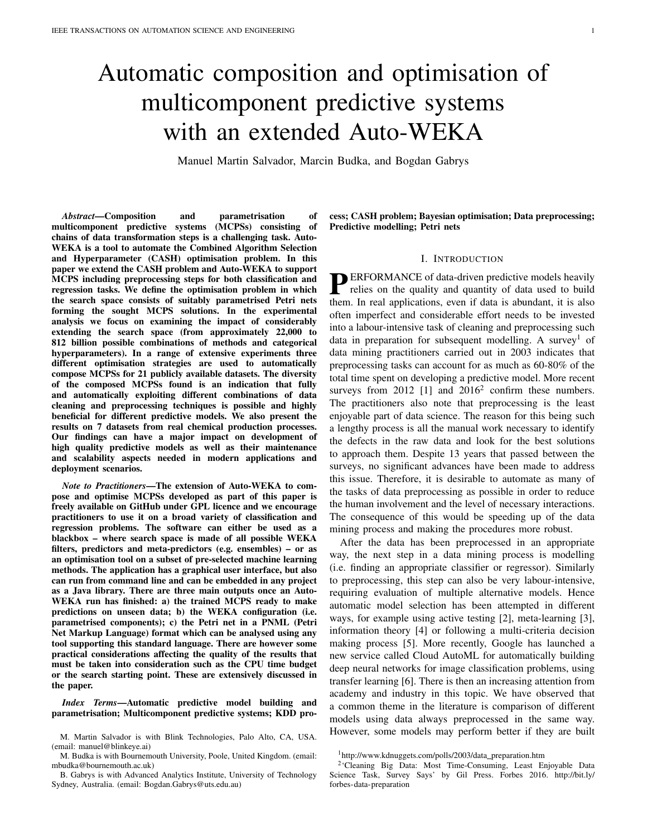#### TABLE X

BEST MCPS FOR PROCESS INDUSTRY DATASETS IN NEW AND FULL SPACES, HOLDOUT ERROR E AND DIFFERENCE WITH BASELINE (" INDICATES AN IMPROVEMENT). MV = MISSING VALUE REPLACEMENT, OU = OUTLIER REMOVAL, TR = TRANSFORMATION, DR = DIM. REDUCTION, SA = SAMPLING.

| $\overline{\phantom{a}}$ |                          |             |                     |                          | predictor   | meta-predictor       |       |          |
|--------------------------|--------------------------|-------------|---------------------|--------------------------|-------------|----------------------|-------|----------|
|                          |                          |             | ۰                   |                          | REPTree     | AdaBoostM1           | 51.04 | $-14.79$ |
| $\overline{\phantom{a}}$ | ۰                        | Wavelet     | <b>RandomSubset</b> | ۰                        | KStar       | <b>Bagging</b>       | 45.63 | $-9.38$  |
| $\overline{\phantom{a}}$ |                          |             | ۰                   | $\overline{\phantom{0}}$ | LMT         | AdaBoostM1           | 55.34 | $-22.90$ |
| $\overline{\phantom{a}}$ | $\overline{\phantom{a}}$ | Wavelet     | RandomSubset        | ۰                        | JRip        | FilteredClassifier   | 48.64 | $-16.20$ |
| ۰.                       |                          |             | ۰                   | ۰.                       | LMT         | AdaBoostM1           | 49.03 | "3.20"   |
| Median                   | ٠                        | Wavelet     | ۰                   |                          | REPTree     | FilteredClassifier   | 50.14 | "2.09"   |
| ۰                        |                          |             | ۰                   | $\overline{\phantom{0}}$ | JRip        | <b>Bagging</b>       | 43.72 | "7.37    |
| $\overline{\phantom{a}}$ | <b>IOR</b>               | Normalize   | ۰                   |                          | Logistic    | Bagging              | 40.98 | 10.11    |
| $\overline{\phantom{a}}$ |                          |             | ۰                   | $\overline{\phantom{0}}$ | JRip        | AdaBoostM1           | 35.74 | $-2.22$  |
| ٠                        |                          | Standardize | ۰                   | ۰                        | JRip        | RandomSubSpace       | 38.24 | $-4.74$  |
|                          |                          |             |                     | -                        | <b>PART</b> | Bagging              | 77.91 | "1.75    |
| ٠                        | ٠                        | Wavelet     | RandomSubset        | -                        | JRip        | FilteredClassifier   | 70.96 | 8.70     |
| $\overline{\phantom{a}}$ |                          |             | ۰                   | ۰.                       | Logistic    | MultiClassClassifier | 28.01 | "19.51"  |
| $\overline{\phantom{a}}$ |                          | Wavelet     | ۰                   | ۰                        | <b>MLP</b>  | FilteredClassifier   | 26.71 | '20.81   |
|                          |                          |             |                     |                          |             |                      |       |          |



Fig. 7. a) Mean 10-fold CV error and b) holdout error  $E$  with 95% bootstrap confidence intervals for process industry datasets. c) Total number of evaluations per dataset and strategy.

by Evonik Industries as part of the collaboration within the INFER project [50], and have been extensively used in previous studies [13], [51], [52]:

'absorber' which contains 38 continuous attributes from an absorption process. No additional information has been provided apart from this being a regression task;

'drier' with 19 continuous features from physical sensors (i.e. temperature, pressure and humidity) and the target value is the residual humidity of the product [51];

'oxeno' which contains 71 continuous attributes also from physical sensors and a target variable which is the product concentration measured in the laboratory [13]; and

'thermalox' which has 38 attributes from physical sensors and the two target values are concentrations of  $NO<sub>x</sub>$  and  $SO_x$  in the exhaust gases [51].

Due to confidentiality reasons the datasets listed above cannot

be published. However, 3 additional publicly available datasets from the same domain have also been used in the experiments:

'catalyst' with 14 attributes, where the task is to predict the activity of a catalyst in a multi-tube reactor [46];

'debutanizer' which has 7 attributes (temperature, pressure and flow measurements of a debutanizer column) and where the target value is the concentration of butane at the output of the column [53]; and

the 'sulfur' recovery unit, which is a system for removing environmental pollutants from acid gas streams before they are released into the atmosphere [54]. The washed out gases are transformed into sulfur. The dataset has five input features (flow measurements) and two target values: concentration of  $H_2S$  and  $SO_2$ .

The results presented in Figure 7 show that including such preprocessing steps has allowed, on average, to find better MCPSs than in the NEW search space for selected datasets. Although the difference is small, that implies that considerably extending the search space does not only have major negative effects but also can be positive for the predictive performance on these datasets. It is interesting to highlight that random search was able to find the MCPSs with lowest holdout error in half of the cases, but on the other hand also presents a higher error variance. We believe that the reason behind this is that random search has evaluated more models than SMAC for almost all the runs (see Figure 7-c)). This suggests that random search – which evaluates more potential solutions and explores more regions of the search space – can, and in these few cases has found better solutions than SMAC.

The best MCPSs found for the chemical datasets are shown at the end of Table X. These solutions outperform the four most popular methods for building soft sensors for process monitoring (PCA, MLP, RBF and SOM) in 4 out of 7 datasets (see in Table X). Also, MCPSs including an attribute selection step have a considerable improvement of performance with respect to NEW (e.g. 'absorber', 'catalyst' and 'sulfur').

We also can see in Figure 7 that there is a large difference between the CV error and the holdout test error in some of these datasets (e.g.  $= 2.60\%$  to  $E = 61.27\%$  in 'catalyst'). This is due to the evolving nature of some chemical processes over time. The test set (last 30% of samples) can